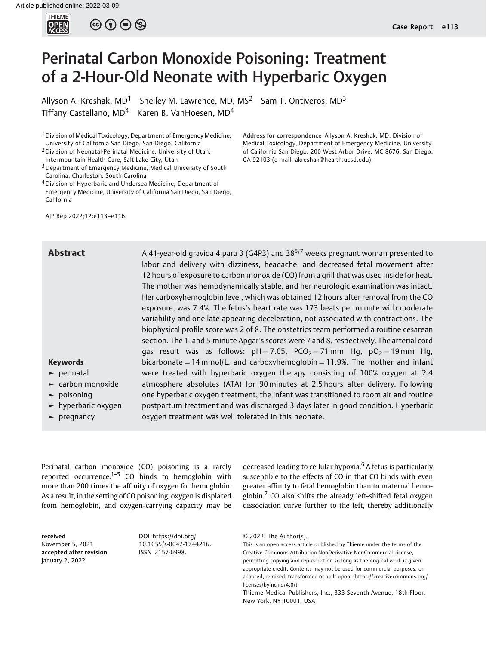

 $\circledcirc$   $\oplus$   $\circledcirc$ 

# Perinatal Carbon Monoxide Poisoning: Treatment of a 2-Hour-Old Neonate with Hyperbaric Oxygen

Allyson A. Kreshak,  $MD<sup>1</sup>$  Shelley M. Lawrence, MD, MS<sup>2</sup> Sam T. Ontiveros, MD<sup>3</sup> Tiffany Castellano,  $MD<sup>4</sup>$  Karen B. VanHoesen,  $MD<sup>4</sup>$ 

<sup>1</sup> Division of Medical Toxicology, Department of Emergency Medicine, University of California San Diego, San Diego, California

4Division of Hyperbaric and Undersea Medicine, Department of

Emergency Medicine, University of California San Diego, San Diego, California

AJP Rep 2022;12:e113–e116.

#### Address for correspondence Allyson A. Kreshak, MD, Division of Medical Toxicology, Department of Emergency Medicine, University of California San Diego, 200 West Arbor Drive, MC 8676, San Diego, CA 92103 (e-mail: [akreshak@health.ucsd.edu](mailto:akreshak@health.ucsd.edu)).

**Abstract** A 41-year-old gravida 4 para 3 (G4P3) and 38<sup>5/7</sup> weeks pregnant woman presented to labor and delivery with dizziness, headache, and decreased fetal movement after 12 hours of exposure to carbon monoxide (CO) from a grill that was used inside for heat. The mother was hemodynamically stable, and her neurologic examination was intact. Her carboxyhemoglobin level, which was obtained 12 hours after removal from the CO exposure, was 7.4%. The fetus's heart rate was 173 beats per minute with moderate variability and one late appearing deceleration, not associated with contractions. The biophysical profile score was 2 of 8. The obstetrics team performed a routine cesarean section. The 1- and 5-minute Apgar's scores were 7 and 8, respectively. The arterial cord gas result was as follows:  $pH = 7.05$ ,  $PCO<sub>2</sub> = 71$  mm Hg,  $pO<sub>2</sub> = 19$  mm Hg, bicarbonate = 14 mmol/L, and carboxyhemoglobin = 11.9%. The mother and infant were treated with hyperbaric oxygen therapy consisting of 100% oxygen at 2.4 atmosphere absolutes (ATA) for 90 minutes at 2.5 hours after delivery. Following one hyperbaric oxygen treatment, the infant was transitioned to room air and routine postpartum treatment and was discharged 3 days later in good condition. Hyperbaric oxygen treatment was well tolerated in this neonate.

## Keywords ► perinatal

- ► carbon monoxide
- ► poisoning
- ► hyperbaric oxygen
- ► pregnancy

Perinatal carbon monoxide (CO) poisoning is a rarely reported occurrence. $1-5$  CO binds to hemoglobin with more than 200 times the affinity of oxygen for hemoglobin. As a result, in the setting of CO poisoning, oxygen is displaced from hemoglobin, and oxygen-carrying capacity may be

received November 5, 2021 accepted after revision January 2, 2022

DOI [https://doi.org/](https://doi.org/10.1055/s-0042-1744216) [10.1055/s-0042-1744216](https://doi.org/10.1055/s-0042-1744216). ISSN 2157-6998.

decreased leading to cellular hypoxia.<sup>6</sup> A fetus is particularly susceptible to the effects of CO in that CO binds with even greater affinity to fetal hemoglobin than to maternal hemoglobin.<sup>7</sup> CO also shifts the already left-shifted fetal oxygen dissociation curve further to the left, thereby additionally

<sup>2</sup>Division of Neonatal-Perinatal Medicine, University of Utah, Intermountain Health Care, Salt Lake City, Utah

<sup>&</sup>lt;sup>3</sup> Department of Emergency Medicine, Medical University of South Carolina, Charleston, South Carolina

<sup>© 2022.</sup> The Author(s).

This is an open access article published by Thieme under the terms of the Creative Commons Attribution-NonDerivative-NonCommercial-License, permitting copying and reproduction so long as the original work is given appropriate credit. Contents may not be used for commercial purposes, or adapted, remixed, transformed or built upon. (https://creativecommons.org/ licenses/by-nc-nd/4.0/)

Thieme Medical Publishers, Inc., 333 Seventh Avenue, 18th Floor, New York, NY 10001, USA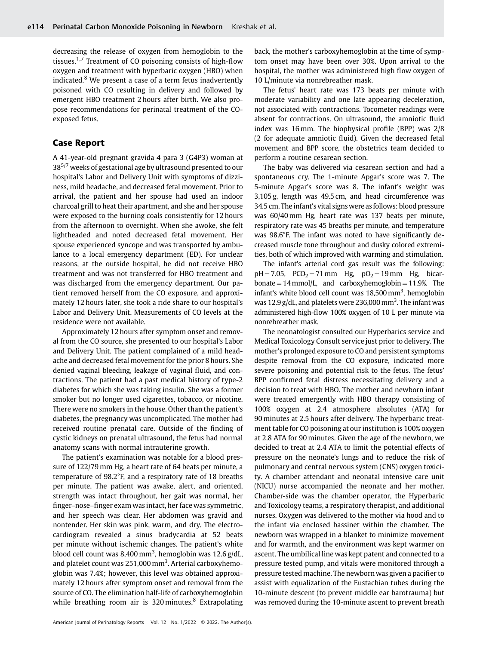decreasing the release of oxygen from hemoglobin to the tissues.<sup>1,7</sup> Treatment of CO poisoning consists of high-flow oxygen and treatment with hyperbaric oxygen (HBO) when indicated. $8$  We present a case of a term fetus inadvertently poisoned with CO resulting in delivery and followed by emergent HBO treatment 2 hours after birth. We also propose recommendations for perinatal treatment of the COexposed fetus.

## Case Report

A 41-year-old pregnant gravida 4 para 3 (G4P3) woman at 38<sup>5/7</sup> weeks of gestational age by ultrasound presented to our hospital's Labor and Delivery Unit with symptoms of dizziness, mild headache, and decreased fetal movement. Prior to arrival, the patient and her spouse had used an indoor charcoal grill to heat their apartment, and she and her spouse were exposed to the burning coals consistently for 12 hours from the afternoon to overnight. When she awoke, she felt lightheaded and noted decreased fetal movement. Her spouse experienced syncope and was transported by ambulance to a local emergency department (ED). For unclear reasons, at the outside hospital, he did not receive HBO treatment and was not transferred for HBO treatment and was discharged from the emergency department. Our patient removed herself from the CO exposure, and approximately 12 hours later, she took a ride share to our hospital's Labor and Delivery Unit. Measurements of CO levels at the residence were not available.

Approximately 12 hours after symptom onset and removal from the CO source, she presented to our hospital's Labor and Delivery Unit. The patient complained of a mild headache and decreased fetal movement for the prior 8 hours. She denied vaginal bleeding, leakage of vaginal fluid, and contractions. The patient had a past medical history of type-2 diabetes for which she was taking insulin. She was a former smoker but no longer used cigarettes, tobacco, or nicotine. There were no smokers in the house. Other than the patient's diabetes, the pregnancy was uncomplicated. The mother had received routine prenatal care. Outside of the finding of cystic kidneys on prenatal ultrasound, the fetus had normal anatomy scans with normal intrauterine growth.

The patient's examination was notable for a blood pressure of 122/79 mm Hg, a heart rate of 64 beats per minute, a temperature of 98.2°F, and a respiratory rate of 18 breaths per minute. The patient was awake, alert, and oriented, strength was intact throughout, her gait was normal, her finger–nose–finger exam was intact, her face was symmetric, and her speech was clear. Her abdomen was gravid and nontender. Her skin was pink, warm, and dry. The electrocardiogram revealed a sinus bradycardia at 52 beats per minute without ischemic changes. The patient's white blood cell count was 8,400 mm<sup>3</sup>, hemoglobin was 12.6 g/dL, and platelet count was 251,000 mm<sup>3</sup>. Arterial carboxyhemoglobin was 7.4%; however, this level was obtained approximately 12 hours after symptom onset and removal from the source of CO. The elimination half-life of carboxyhemoglobin while breathing room air is  $320 \text{ minutes}$ .<sup>8</sup> Extrapolating back, the mother's carboxyhemoglobin at the time of symptom onset may have been over 30%. Upon arrival to the hospital, the mother was administered high flow oxygen of 10 L/minute via nonrebreather mask.

The fetus' heart rate was 173 beats per minute with moderate variability and one late appearing deceleration, not associated with contractions. Tocometer readings were absent for contractions. On ultrasound, the amniotic fluid index was 16 mm. The biophysical profile (BPP) was 2/8 (2 for adequate amniotic fluid). Given the decreased fetal movement and BPP score, the obstetrics team decided to perform a routine cesarean section.

The baby was delivered via cesarean section and had a spontaneous cry. The 1-minute Apgar's score was 7. The 5-minute Apgar's score was 8. The infant's weight was 3,105 g, length was 49.5 cm, and head circumference was 34.5 cm. The infant's vital signs were as follows: blood pressure was 60/40 mm Hg, heart rate was 137 beats per minute, respiratory rate was 45 breaths per minute, and temperature was 98.6°F. The infant was noted to have significantly decreased muscle tone throughout and dusky colored extremities, both of which improved with warming and stimulation.

The infant's arterial cord gas result was the following:  $pH = 7.05$ ,  $PCO_2 = 71$  mm Hg,  $pO_2 = 19$  mm Hg, bicarbonate  $= 14$  mmol/L, and carboxyhemoglobin  $= 11.9$ %. The infant's white blood cell count was 18,500 mm<sup>3</sup>, hemoglobin was  $12.9$  g/dL, and platelets were  $236,000$  mm<sup>3</sup>. The infant was administered high-flow 100% oxygen of 10 L per minute via nonrebreather mask.

The neonatologist consulted our Hyperbarics service and Medical Toxicology Consult service just prior to delivery. The mother's prolonged exposure to CO and persistent symptoms despite removal from the CO exposure, indicated more severe poisoning and potential risk to the fetus. The fetus' BPP confirmed fetal distress necessitating delivery and a decision to treat with HBO. The mother and newborn infant were treated emergently with HBO therapy consisting of 100% oxygen at 2.4 atmosphere absolutes (ATA) for 90 minutes at 2.5 hours after delivery. The hyperbaric treatment table for CO poisoning at our institution is 100% oxygen at 2.8 ATA for 90 minutes. Given the age of the newborn, we decided to treat at 2.4 ATA to limit the potential effects of pressure on the neonate's lungs and to reduce the risk of pulmonary and central nervous system (CNS) oxygen toxicity. A chamber attendant and neonatal intensive care unit (NICU) nurse accompanied the neonate and her mother. Chamber-side was the chamber operator, the Hyperbaric and Toxicology teams, a respiratory therapist, and additional nurses. Oxygen was delivered to the mother via hood and to the infant via enclosed bassinet within the chamber. The newborn was wrapped in a blanket to minimize movement and for warmth, and the environment was kept warmer on ascent. The umbilical line was kept patent and connected to a pressure tested pump, and vitals were monitored through a pressure tested machine. The newborn was given a pacifier to assist with equalization of the Eustachian tubes during the 10-minute descent (to prevent middle ear barotrauma) but was removed during the 10-minute ascent to prevent breath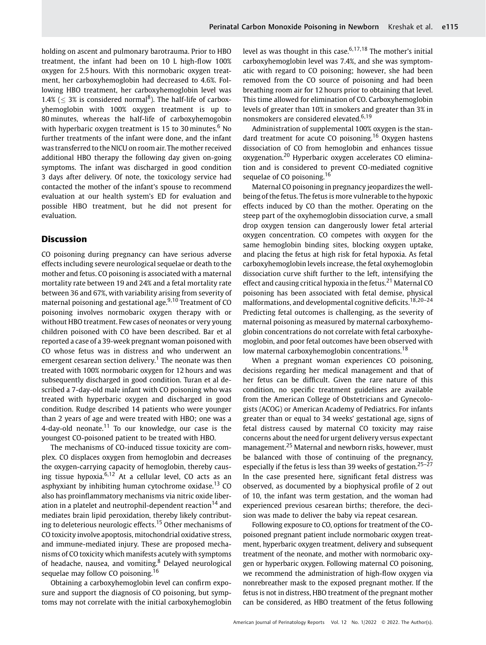holding on ascent and pulmonary barotrauma. Prior to HBO treatment, the infant had been on 10 L high-flow 100% oxygen for 2.5 hours. With this normobaric oxygen treatment, her carboxyhemoglobin had decreased to 4.6%. Following HBO treatment, her carboxyhemoglobin level was 1.4% ( $\leq$  3% is considered normal<sup>8</sup>). The half-life of carboxyhemoglobin with 100% oxygen treatment is up to 80 minutes, whereas the half-life of carboxyhemogobin with hyperbaric oxygen treatment is 15 to 30 minutes. $6$  No further treatments of the infant were done, and the infant was transferred to the NICU on room air. The mother received additional HBO therapy the following day given on-going symptoms. The infant was discharged in good condition 3 days after delivery. Of note, the toxicology service had contacted the mother of the infant's spouse to recommend evaluation at our health system's ED for evaluation and possible HBO treatment, but he did not present for evaluation.

### Discussion

CO poisoning during pregnancy can have serious adverse effects including severe neurological sequelae or death to the mother and fetus. CO poisoning is associated with a maternal mortality rate between 19 and 24% and a fetal mortality rate between 36 and 67%, with variability arising from severity of maternal poisoning and gestational age.<sup>9,10</sup> Treatment of CO poisoning involves normobaric oxygen therapy with or without HBO treatment. Few cases of neonates or very young children poisoned with CO have been described. Bar et al reported a case of a 39-week pregnant woman poisoned with CO whose fetus was in distress and who underwent an emergent cesarean section delivery.<sup>1</sup> The neonate was then treated with 100% normobaric oxygen for 12 hours and was subsequently discharged in good condition. Turan et al described a 7-day-old male infant with CO poisoning who was treated with hyperbaric oxygen and discharged in good condition. Rudge described 14 patients who were younger than 2 years of age and were treated with HBO; one was a 4-day-old neonate.<sup>11</sup> To our knowledge, our case is the youngest CO-poisoned patient to be treated with HBO.

The mechanisms of CO-induced tissue toxicity are complex. CO displaces oxygen from hemoglobin and decreases the oxygen-carrying capacity of hemoglobin, thereby causing tissue hypoxia. $6,12$  At a cellular level, CO acts as an asphyxiant by inhibiting human cytochrome oxidase.<sup>13</sup> CO also has proinflammatory mechanisms via nitric oxide liberation in a platelet and neutrophil-dependent reaction<sup>14</sup> and mediates brain lipid peroxidation, thereby likely contributing to deleterious neurologic effects.<sup>15</sup> Other mechanisms of CO toxicity involve apoptosis, mitochondrial oxidative stress, and immune-mediated injury. These are proposed mechanisms of CO toxicity which manifests acutely with symptoms of headache, nausea, and vomiting.<sup>8</sup> Delayed neurological sequelae may follow CO poisoning.<sup>16</sup>

Obtaining a carboxyhemoglobin level can confirm exposure and support the diagnosis of CO poisoning, but symptoms may not correlate with the initial carboxyhemoglobin level as was thought in this case.  $6,17,18$  The mother's initial carboxyhemoglobin level was 7.4%, and she was symptomatic with regard to CO poisoning; however, she had been removed from the CO source of poisoning and had been breathing room air for 12 hours prior to obtaining that level. This time allowed for elimination of CO. Carboxyhemoglobin levels of greater than 10% in smokers and greater than 3% in nonsmokers are considered elevated.<sup>6,19</sup>

Administration of supplemental 100% oxygen is the standard treatment for acute CO poisoning.<sup>16</sup> Oxygen hastens dissociation of CO from hemoglobin and enhances tissue oxygenation.<sup>20</sup> Hyperbaric oxygen accelerates CO elimination and is considered to prevent CO-mediated cognitive sequelae of CO poisoning.<sup>16</sup>

Maternal CO poisoning in pregnancy jeopardizes the wellbeing of the fetus. The fetus is more vulnerable to the hypoxic effects induced by CO than the mother. Operating on the steep part of the oxyhemoglobin dissociation curve, a small drop oxygen tension can dangerously lower fetal arterial oxygen concentration. CO competes with oxygen for the same hemoglobin binding sites, blocking oxygen uptake, and placing the fetus at high risk for fetal hypoxia. As fetal carboxyhemoglobin levels increase, the fetal oxyhemoglobin dissociation curve shift further to the left, intensifying the effect and causing critical hypoxia in the fetus.<sup>21</sup> Maternal CO poisoning has been associated with fetal demise, physical malformations, and developmental cognitive deficits.18,20–<sup>24</sup> Predicting fetal outcomes is challenging, as the severity of maternal poisoning as measured by maternal carboxyhemoglobin concentrations do not correlate with fetal carboxyhemoglobin, and poor fetal outcomes have been observed with low maternal carboxyhemoglobin concentrations.<sup>18</sup>

When a pregnant woman experiences CO poisoning, decisions regarding her medical management and that of her fetus can be difficult. Given the rare nature of this condition, no specific treatment guidelines are available from the American College of Obstetricians and Gynecologists (ACOG) or American Academy of Pediatrics. For infants greater than or equal to 34 weeks' gestational age, signs of fetal distress caused by maternal CO toxicity may raise concerns about the need for urgent delivery versus expectant management.<sup>25</sup> Maternal and newborn risks, however, must be balanced with those of continuing of the pregnancy, especially if the fetus is less than 39 weeks of gestation.<sup>25-27</sup> In the case presented here, significant fetal distress was observed, as documented by a biophysical profile of 2 out of 10, the infant was term gestation, and the woman had experienced previous cesarean births; therefore, the decision was made to deliver the baby via repeat cesarean.

Following exposure to CO, options for treatment of the COpoisoned pregnant patient include normobaric oxygen treatment, hyperbaric oxygen treatment, delivery and subsequent treatment of the neonate, and mother with normobaric oxygen or hyperbaric oxygen. Following maternal CO poisoning, we recommend the administration of high-flow oxygen via nonrebreather mask to the exposed pregnant mother. If the fetus is not in distress, HBO treatment of the pregnant mother can be considered, as HBO treatment of the fetus following